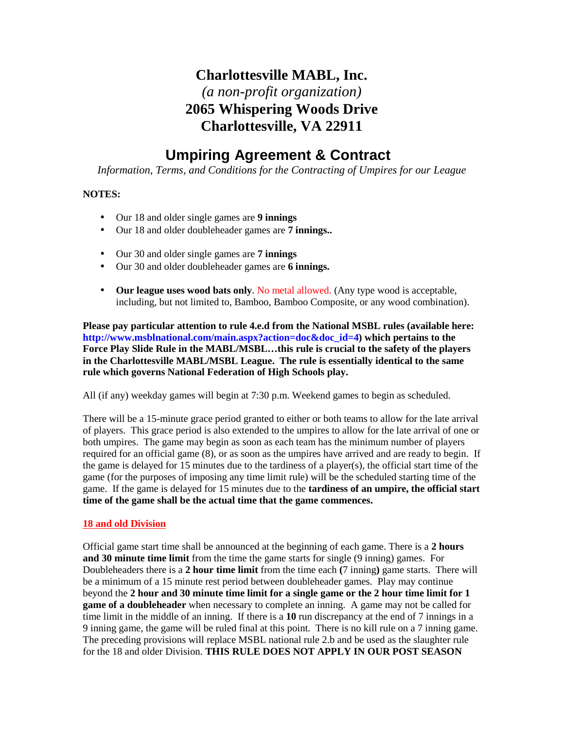## **Charlottesville MABL, Inc.** *(a non-profit organization)* **2065 Whispering Woods Drive Charlottesville, VA 22911**

# **Umpiring Agreement & Contract**

*Information, Terms, and Conditions for the Contracting of Umpires for our League*

### **NOTES:**

- Our 18 and older single games are **9 innings**
- Our 18 and older doubleheader games are **7 innings..**
- Our 30 and older single games are **7 innings**
- Our 30 and older doubleheader games are **6 innings.**
- **Our league uses wood bats only**. No metal allowed. (Any type wood is acceptable, including, but not limited to, Bamboo, Bamboo Composite, or any wood combination).

**Please pay particular attention to rule 4.e.d from the National MSBL rules (available here: http://www.msblnational.com/main.aspx?action=doc&doc\_id=4) which pertains to the Force Play Slide Rule in the MABL/MSBL…this rule is crucial to the safety of the players in the Charlottesville MABL/MSBL League. The rule is essentially identical to the same rule which governs National Federation of High Schools play.**

All (if any) weekday games will begin at 7:30 p.m. Weekend games to begin as scheduled.

There will be a 15-minute grace period granted to either or both teams to allow for the late arrival of players. This grace period is also extended to the umpires to allow for the late arrival of one or both umpires. The game may begin as soon as each team has the minimum number of players required for an official game (8), or as soon as the umpires have arrived and are ready to begin. If the game is delayed for 15 minutes due to the tardiness of a player(s), the official start time of the game (for the purposes of imposing any time limit rule) will be the scheduled starting time of the game. If the game is delayed for 15 minutes due to the **tardiness of an umpire, the official start time of the game shall be the actual time that the game commences.**

### **18 and old Division**

Official game start time shall be announced at the beginning of each game. There is a **2 hours and 30 minute time limit** from the time the game starts for single (9 inning) games. For Doubleheaders there is a **2 hour time limit** from the time each **(**7 inning**)** game starts. There will be a minimum of a 15 minute rest period between doubleheader games. Play may continue beyond the **2 hour and 30 minute time limit for a single game or the 2 hour time limit for 1 game of a doubleheader** when necessary to complete an inning. A game may not be called for time limit in the middle of an inning. If there is a **10** run discrepancy at the end of 7 innings in a 9 inning game, the game will be ruled final at this point. There is no kill rule on a 7 inning game. The preceding provisions will replace MSBL national rule 2.b and be used as the slaughter rule for the 18 and older Division. **THIS RULE DOES NOT APPLY IN OUR POST SEASON**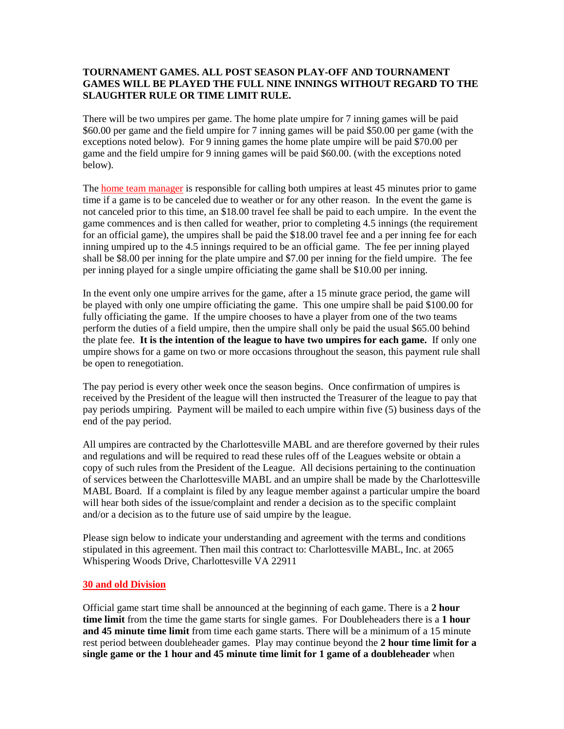### **TOURNAMENT GAMES. ALL POST SEASON PLAY-OFF AND TOURNAMENT GAMES WILL BE PLAYED THE FULL NINE INNINGS WITHOUT REGARD TO THE SLAUGHTER RULE OR TIME LIMIT RULE.**

There will be two umpires per game. The home plate umpire for 7 inning games will be paid \$60.00 per game and the field umpire for 7 inning games will be paid \$50.00 per game (with the exceptions noted below). For 9 inning games the home plate umpire will be paid \$70.00 per game and the field umpire for 9 inning games will be paid \$60.00. (with the exceptions noted below).

The home team manager is responsible for calling both umpires at least 45 minutes prior to game time if a game is to be canceled due to weather or for any other reason. In the event the game is not canceled prior to this time, an \$18.00 travel fee shall be paid to each umpire. In the event the game commences and is then called for weather, prior to completing 4.5 innings (the requirement for an official game), the umpires shall be paid the \$18.00 travel fee and a per inning fee for each inning umpired up to the 4.5 innings required to be an official game. The fee per inning played shall be \$8.00 per inning for the plate umpire and \$7.00 per inning for the field umpire. The fee per inning played for a single umpire officiating the game shall be \$10.00 per inning.

In the event only one umpire arrives for the game, after a 15 minute grace period, the game will be played with only one umpire officiating the game. This one umpire shall be paid \$100.00 for fully officiating the game. If the umpire chooses to have a player from one of the two teams perform the duties of a field umpire, then the umpire shall only be paid the usual \$65.00 behind the plate fee. **It is the intention of the league to have two umpires for each game.** If only one umpire shows for a game on two or more occasions throughout the season, this payment rule shall be open to renegotiation.

The pay period is every other week once the season begins. Once confirmation of umpires is received by the President of the league will then instructed the Treasurer of the league to pay that pay periods umpiring. Payment will be mailed to each umpire within five (5) business days of the end of the pay period.

All umpires are contracted by the Charlottesville MABL and are therefore governed by their rules and regulations and will be required to read these rules off of the Leagues website or obtain a copy of such rules from the President of the League. All decisions pertaining to the continuation of services between the Charlottesville MABL and an umpire shall be made by the Charlottesville MABL Board. If a complaint is filed by any league member against a particular umpire the board will hear both sides of the issue/complaint and render a decision as to the specific complaint and/or a decision as to the future use of said umpire by the league.

Please sign below to indicate your understanding and agreement with the terms and conditions stipulated in this agreement. Then mail this contract to: Charlottesville MABL, Inc. at 2065 Whispering Woods Drive, Charlottesville VA 22911

#### **30 and old Division**

Official game start time shall be announced at the beginning of each game. There is a **2 hour time limit** from the time the game starts for single games. For Doubleheaders there is a **1 hour and 45 minute time limit** from time each game starts. There will be a minimum of a 15 minute rest period between doubleheader games. Play may continue beyond the **2 hour time limit for a single game or the 1 hour and 45 minute time limit for 1 game of a doubleheader** when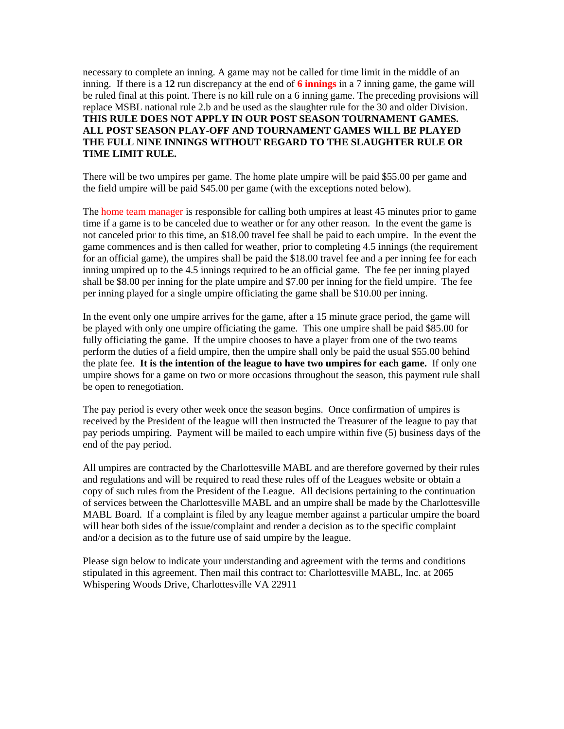necessary to complete an inning. A game may not be called for time limit in the middle of an inning. If there is a **12** run discrepancy at the end of **6 innings** in a 7 inning game, the game will be ruled final at this point. There is no kill rule on a 6 inning game. The preceding provisions will replace MSBL national rule 2.b and be used as the slaughter rule for the 30 and older Division. **THIS RULE DOES NOT APPLY IN OUR POST SEASON TOURNAMENT GAMES. ALL POST SEASON PLAY-OFF AND TOURNAMENT GAMES WILL BE PLAYED THE FULL NINE INNINGS WITHOUT REGARD TO THE SLAUGHTER RULE OR TIME LIMIT RULE.**

There will be two umpires per game. The home plate umpire will be paid \$55.00 per game and the field umpire will be paid \$45.00 per game (with the exceptions noted below).

The home team manager is responsible for calling both umpires at least 45 minutes prior to game time if a game is to be canceled due to weather or for any other reason. In the event the game is not canceled prior to this time, an \$18.00 travel fee shall be paid to each umpire. In the event the game commences and is then called for weather, prior to completing 4.5 innings (the requirement for an official game), the umpires shall be paid the \$18.00 travel fee and a per inning fee for each inning umpired up to the 4.5 innings required to be an official game. The fee per inning played shall be \$8.00 per inning for the plate umpire and \$7.00 per inning for the field umpire. The fee per inning played for a single umpire officiating the game shall be \$10.00 per inning.

In the event only one umpire arrives for the game, after a 15 minute grace period, the game will be played with only one umpire officiating the game. This one umpire shall be paid \$85.00 for fully officiating the game. If the umpire chooses to have a player from one of the two teams perform the duties of a field umpire, then the umpire shall only be paid the usual \$55.00 behind the plate fee. **It is the intention of the league to have two umpires for each game.** If only one umpire shows for a game on two or more occasions throughout the season, this payment rule shall be open to renegotiation.

The pay period is every other week once the season begins. Once confirmation of umpires is received by the President of the league will then instructed the Treasurer of the league to pay that pay periods umpiring. Payment will be mailed to each umpire within five (5) business days of the end of the pay period.

All umpires are contracted by the Charlottesville MABL and are therefore governed by their rules and regulations and will be required to read these rules off of the Leagues website or obtain a copy of such rules from the President of the League. All decisions pertaining to the continuation of services between the Charlottesville MABL and an umpire shall be made by the Charlottesville MABL Board. If a complaint is filed by any league member against a particular umpire the board will hear both sides of the issue/complaint and render a decision as to the specific complaint and/or a decision as to the future use of said umpire by the league.

Please sign below to indicate your understanding and agreement with the terms and conditions stipulated in this agreement. Then mail this contract to: Charlottesville MABL, Inc. at 2065 Whispering Woods Drive, Charlottesville VA 22911